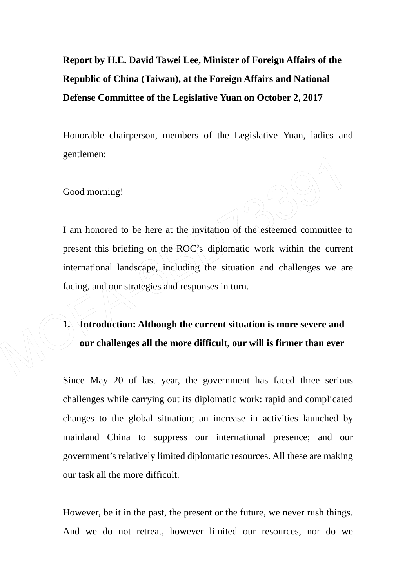**Report by H.E. David Tawei Lee, Minister of Foreign Affairs of the Republic of China (Taiwan), at the Foreign Affairs and National Defense Committee of the Legislative Yuan on October 2, 2017** 

Honorable chairperson, members of the Legislative Yuan, ladies and gentlemen:

Good morning!

I am honored to be here at the invitation of the esteemed committee to present this briefing on the ROC's diplomatic work within the current international landscape, including the situation and challenges we are facing, and our strategies and responses in turn.

**1. Introduction: Although the current situation is more severe and our challenges all the more difficult, our will is firmer than ever**

Since May 20 of last year, the government has faced three serious challenges while carrying out its diplomatic work: rapid and complicated changes to the global situation; an increase in activities launched by mainland China to suppress our international presence; and our government's relatively limited diplomatic resources. All these are making our task all the more difficult.

However, be it in the past, the present or the future, we never rush things. And we do not retreat, however limited our resources, nor do we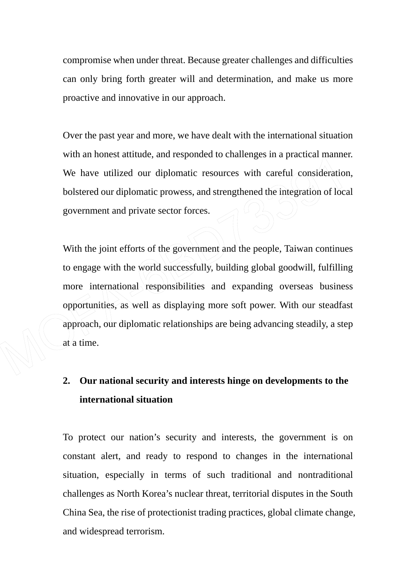compromise when under threat. Because greater challenges and difficulties can only bring forth greater will and determination, and make us more proactive and innovative in our approach.

Over the past year and more, we have dealt with the international situation with an honest attitude, and responded to challenges in a practical manner. We have utilized our diplomatic resources with careful consideration, bolstered our diplomatic prowess, and strengthened the integration of local government and private sector forces.

With the joint efforts of the government and the people, Taiwan continues to engage with the world successfully, building global goodwill, fulfilling more international responsibilities and expanding overseas business opportunities, as well as displaying more soft power. With our steadfast approach, our diplomatic relationships are being advancing steadily, a step  $a t/a$  time.

# **2. Our national security and interests hinge on developments to the international situation**

To protect our nation's security and interests, the government is on constant alert, and ready to respond to changes in the international situation, especially in terms of such traditional and nontraditional challenges as North Korea's nuclear threat, territorial disputes in the South China Sea, the rise of protectionist trading practices, global climate change, and widespread terrorism.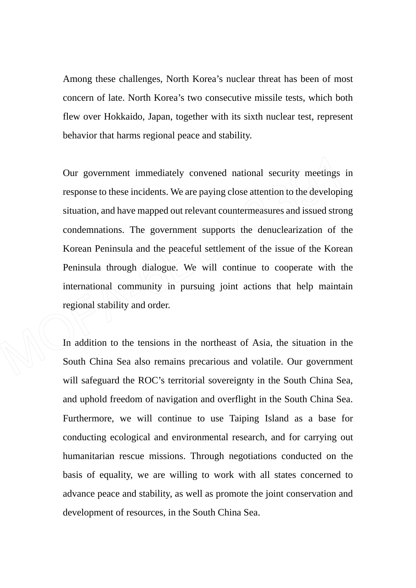Among these challenges, North Korea's nuclear threat has been of most concern of late. North Korea's two consecutive missile tests, which both flew over Hokkaido, Japan, together with its sixth nuclear test, represent behavior that harms regional peace and stability.

Our government immediately convened national security meetings in response to these incidents. We are paying close attention to the developing situation, and have mapped out relevant countermeasures and issued strong condemnations. The government supports the denuclearization of the Korean Peninsula and the peaceful settlement of the issue of the Korean Peninsula through dialogue. We will continue to cooperate with the international community in pursuing joint actions that help maintain regional stability and order.

 $\overline{\phantom{a}}$ 

In addition to the tensions in the northeast of Asia, the situation in the South China Sea also remains precarious and volatile. Our government will safeguard the ROC's territorial sovereignty in the South China Sea, and uphold freedom of navigation and overflight in the South China Sea. Furthermore, we will continue to use Taiping Island as a base for conducting ecological and environmental research, and for carrying out humanitarian rescue missions. Through negotiations conducted on the basis of equality, we are willing to work with all states concerned to advance peace and stability, as well as promote the joint conservation and development of resources, in the South China Sea.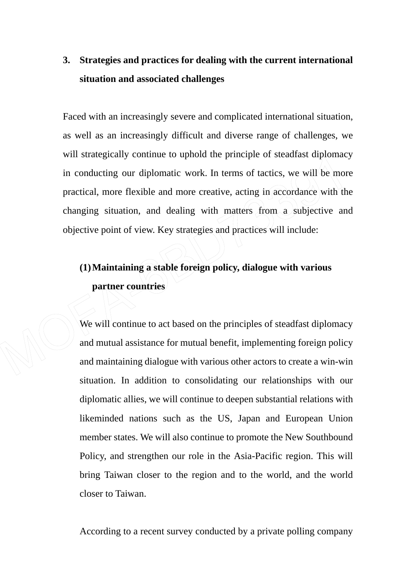# **3. Strategies and practices for dealing with the current international situation and associated challenges**

Faced with an increasingly severe and complicated international situation, as well as an increasingly difficult and diverse range of challenges, we will strategically continue to uphold the principle of steadfast diplomacy in conducting our diplomatic work. In terms of tactics, we will be more practical, more flexible and more creative, acting in accordance with the changing situation, and dealing with matters from a subjective and objective point of view. Key strategies and practices will include:

# **(1)Maintaining a stable foreign policy, dialogue with various partner countries**

We will continue to act based on the principles of steadfast diplomacy and mutual assistance for mutual benefit, implementing foreign policy and maintaining dialogue with various other actors to create a win-win situation. In addition to consolidating our relationships with our diplomatic allies, we will continue to deepen substantial relations with likeminded nations such as the US, Japan and European Union member states. We will also continue to promote the New Southbound Policy, and strengthen our role in the Asia-Pacific region. This will bring Taiwan closer to the region and to the world, and the world closer to Taiwan.

According to a recent survey conducted by a private polling company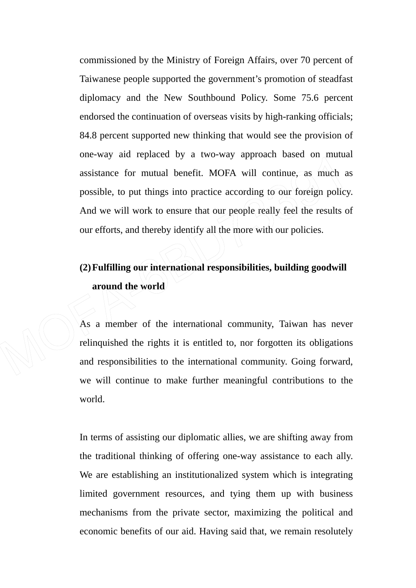commissioned by the Ministry of Foreign Affairs, over 70 percent of Taiwanese people supported the government's promotion of steadfast diplomacy and the New Southbound Policy. Some 75.6 percent endorsed the continuation of overseas visits by high-ranking officials; 84.8 percent supported new thinking that would see the provision of one-way aid replaced by a two-way approach based on mutual assistance for mutual benefit. MOFA will continue, as much as possible, to put things into practice according to our foreign policy. And we will work to ensure that our people really feel the results of our efforts, and thereby identify all the more with our policies.

**(2)Fulfilling our international responsibilities, building goodwill around the world** 

As a member of the international community, Taiwan has never relinquished the rights it is entitled to, nor forgotten its obligations and responsibilities to the international community. Going forward, we will continue to make further meaningful contributions to the world.

In terms of assisting our diplomatic allies, we are shifting away from the traditional thinking of offering one-way assistance to each ally. We are establishing an institutionalized system which is integrating limited government resources, and tying them up with business mechanisms from the private sector, maximizing the political and economic benefits of our aid. Having said that, we remain resolutely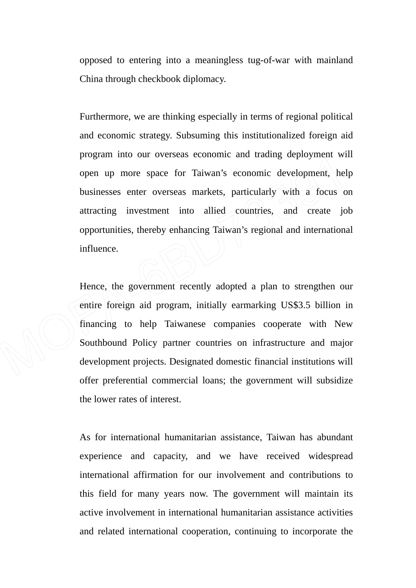opposed to entering into a meaningless tug-of-war with mainland China through checkbook diplomacy.

Furthermore, we are thinking especially in terms of regional political and economic strategy. Subsuming this institutionalized foreign aid program into our overseas economic and trading deployment will open up more space for Taiwan's economic development, help businesses enter overseas markets, particularly with a focus on attracting investment into allied countries, and create job opportunities, thereby enhancing Taiwan's regional and international influence.

Hence, the government recently adopted a plan to strengthen our entire foreign aid program, initially earmarking US\$3.5 billion in financing to help Taiwanese companies cooperate with New Southbound Policy partner countries on infrastructure and major development projects. Designated domestic financial institutions will offer preferential commercial loans; the government will subsidize the lower rates of interest.

As for international humanitarian assistance, Taiwan has abundant experience and capacity, and we have received widespread international affirmation for our involvement and contributions to this field for many years now. The government will maintain its active involvement in international humanitarian assistance activities and related international cooperation, continuing to incorporate the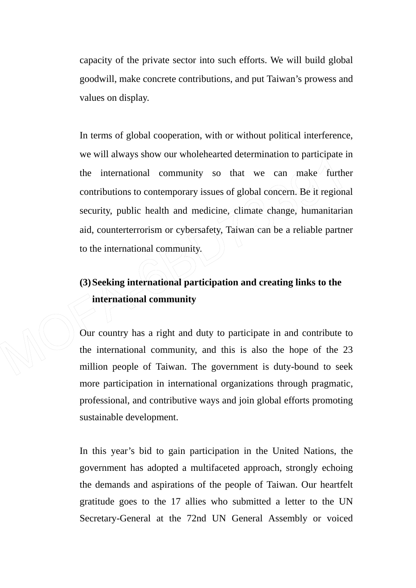capacity of the private sector into such efforts. We will build global goodwill, make concrete contributions, and put Taiwan's prowess and values on display.

In terms of global cooperation, with or without political interference, we will always show our wholehearted determination to participate in the international community so that we can make further contributions to contemporary issues of global concern. Be it regional security, public health and medicine, climate change, humanitarian aid, counterterrorism or cybersafety, Taiwan can be a reliable partner to the international community.

# **(3)Seeking international participation and creating links to the international community**

Our country has a right and duty to participate in and contribute to the international community, and this is also the hope of the 23 million people of Taiwan. The government is duty-bound to seek more participation in international organizations through pragmatic, professional, and contributive ways and join global efforts promoting sustainable development.

In this year's bid to gain participation in the United Nations, the government has adopted a multifaceted approach, strongly echoing the demands and aspirations of the people of Taiwan. Our heartfelt gratitude goes to the 17 allies who submitted a letter to the UN Secretary-General at the 72nd UN General Assembly or voiced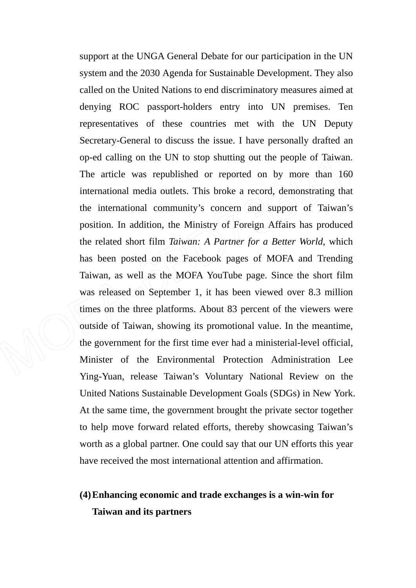support at the UNGA General Debate for our participation in the UN system and the 2030 Agenda for Sustainable Development. They also called on the United Nations to end discriminatory measures aimed at denying ROC passport-holders entry into UN premises. Ten representatives of these countries met with the UN Deputy Secretary-General to discuss the issue. I have personally drafted an op-ed calling on the UN to stop shutting out the people of Taiwan. The article was republished or reported on by more than  $160$ international media outlets. This broke a record, demonstrating that the international community's concern  $(and)$  support of Taiwan's position. In addition, the Ministry of Foreign Affairs has produced the related short film *Taiwan: A Partner for a Better World*, which has been posted on the Facebook pages of MOFA and Trending Taiwan, as well as the MOFA YouTube page. Since the short film was released on September 1, it has been viewed over 8.3 million times on the three platforms. About 83 percent of the viewers were outside of Taiwan, showing its promotional value. In the meantime, the government for the first time ever had a ministerial-level official, Minister of the Environmental Protection Administration Lee Ying-Yuan, release Taiwan's Voluntary National Review on the United Nations Sustainable Development Goals (SDGs) in New York. At the same time, the government brought the private sector together to help move forward related efforts, thereby showcasing Taiwan's worth as a global partner. One could say that our UN efforts this year have received the most international attention and affirmation.

## **(4)Enhancing economic and trade exchanges is a win-win for Taiwan and its partners**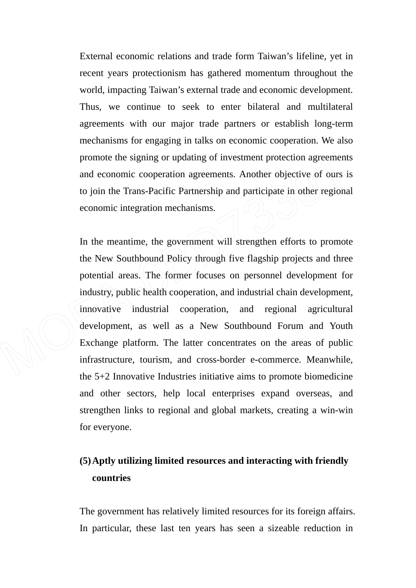External economic relations and trade form Taiwan's lifeline, yet in recent years protectionism has gathered momentum throughout the world, impacting Taiwan's external trade and economic development. Thus, we continue to seek to enter bilateral and multilateral agreements with our major trade partners or establish long-term mechanisms for engaging in talks on economic cooperation. We also promote the signing or updating of investment protection agreements and economic cooperation agreements. Another objective of ours is to join the Trans-Pacific Partnership and participate in other regional economic integration mechanisms.

In the meantime, the government will strengthen efforts to promote the New Southbound Policy through five flagship projects and three potential areas. The former focuses on personnel development for industry, public health cooperation, and industrial chain development, innovative industrial cooperation, and regional agricultural development, as well as a New Southbound Forum and Youth Exchange platform. The latter concentrates on the areas of public infrastructure, tourism, and cross-border e-commerce. Meanwhile, the 5+2 Innovative Industries initiative aims to promote biomedicine and other sectors, help local enterprises expand overseas, and strengthen links to regional and global markets, creating a win-win for everyone.

## **(5)Aptly utilizing limited resources and interacting with friendly countries**

The government has relatively limited resources for its foreign affairs. In particular, these last ten years has seen a sizeable reduction in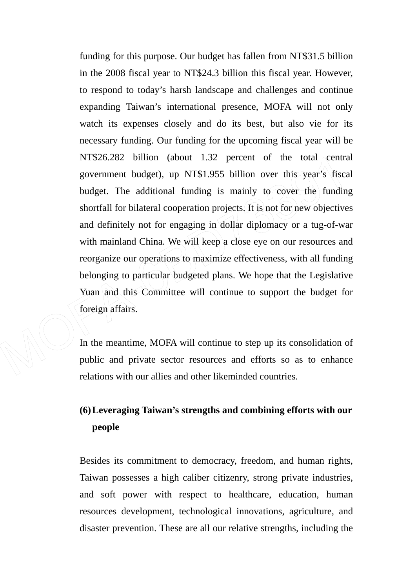funding for this purpose. Our budget has fallen from NT\$31.5 billion in the 2008 fiscal year to NT\$24.3 billion this fiscal year. However, to respond to today's harsh landscape and challenges and continue expanding Taiwan's international presence, MOFA will not only watch its expenses closely and do its best, but also vie for its necessary funding. Our funding for the upcoming fiscal year will be NT\$26.282 billion (about 1.32 percent of the total central government budget), up NT\$1.955 billion over this year's fiscal budget. The additional funding is mainly to cover the funding shortfall for bilateral cooperation projects. It is not for new objectives and definitely not for engaging in dollar diplomacy or a tug-of-war with mainland China. We will keep a close eye on our resources and reorganize our operations to maximize effectiveness, with all funding belonging to particular budgeted plans. We hope that the Legislative Yuan and this Committee will continue to support the budget for foreign affairs.

In the meantime, MOFA will continue to step up its consolidation of public and private sector resources and efforts so as to enhance relations with our allies and other likeminded countries.

## **(6)Leveraging Taiwan's strengths and combining efforts with our people**

Besides its commitment to democracy, freedom, and human rights, Taiwan possesses a high caliber citizenry, strong private industries, and soft power with respect to healthcare, education, human resources development, technological innovations, agriculture, and disaster prevention. These are all our relative strengths, including the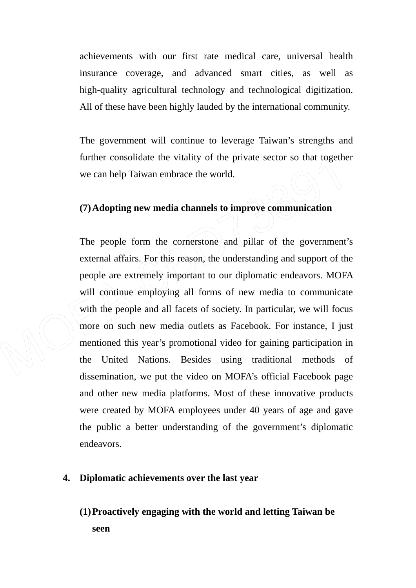achievements with our first rate medical care, universal health insurance coverage, and advanced smart cities, as well as high-quality agricultural technology and technological digitization. All of these have been highly lauded by the international community.

The government will continue to leverage Taiwan's strengths and further consolidate the vitality of the private sector so that together we can help Taiwan embrace the world.

### **(7)Adopting new media channels to improve communication**

The people form the cornerstone and pillar of the government's external affairs. For this reason, the understanding and support of the people are extremely important to our diplomatic endeavors. MOFA will continue employing all forms of new media to communicate with the people and all facets of society. In particular, we will focus more on such new media outlets as Facebook. For instance, I just mentioned this year's promotional video for gaining participation in the United Nations. Besides using traditional methods of dissemination, we put the video on MOFA's official Facebook page and other new media platforms. Most of these innovative products were created by MOFA employees under 40 years of age and gave the public a better understanding of the government's diplomatic endeavors.

### **4. Diplomatic achievements over the last year**

**(1)Proactively engaging with the world and letting Taiwan be seen**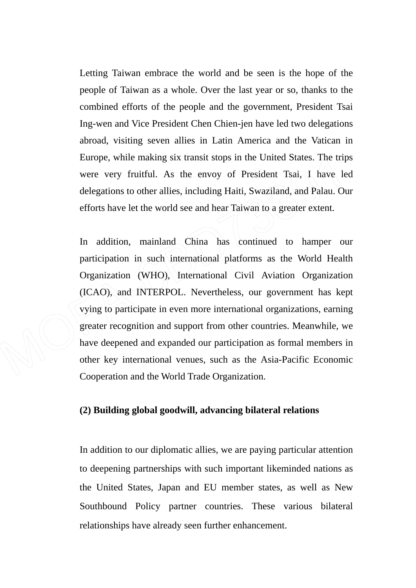Letting Taiwan embrace the world and be seen is the hope of the people of Taiwan as a whole. Over the last year or so, thanks to the combined efforts of the people and the government, President Tsai Ing-wen and Vice President Chen Chien-jen have led two delegations abroad, visiting seven allies in Latin America and the Vatican in Europe, while making six transit stops in the United States. The trips were very fruitful. As the envoy of President Tsai, I have led delegations to other allies, including Haiti, Swaziland, and Palau. Our efforts have let the world see and hear Taiwan to a greater extent.

In addition, mainland China has continued to hamper our participation in such international platforms as the World Health Organization (WHO), International Civil Aviation Organization (ICAO), and INTERPOL. Nevertheless, our government has kept vying to participate in even more international organizations, earning greater recognition and support from other countries. Meanwhile, we have deepened and expanded our participation as formal members in other key international venues, such as the Asia-Pacific Economic Cooperation and the World Trade Organization.

### **(2) Building global goodwill, advancing bilateral relations**

In addition to our diplomatic allies, we are paying particular attention to deepening partnerships with such important likeminded nations as the United States, Japan and EU member states, as well as New Southbound Policy partner countries. These various bilateral relationships have already seen further enhancement.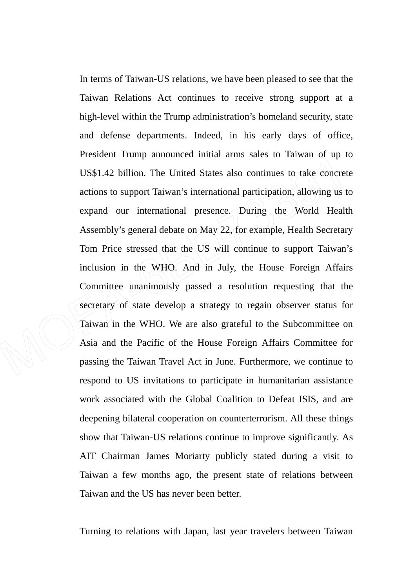In terms of Taiwan-US relations, we have been pleased to see that the Taiwan Relations Act continues to receive strong support at a high-level within the Trump administration's homeland security, state and defense departments. Indeed, in his early days of office, President Trump announced initial arms sales to Taiwan of up to US\$1.42 billion. The United States also continues to take concrete actions to support Taiwan's international participation, allowing us to expand our international presence. During the World Health Assembly's general debate on May 22, for example, Health Secretary Tom Price stressed that the US will continue to support Taiwan's inclusion in the WHO. And in July, the House Foreign Affairs Committee unanimously passed a resolution requesting that the secretary of state develop a strategy to regain observer status for Taiwan in the WHO. We are also grateful to the Subcommittee on Asia and the Pacific of the House Foreign Affairs Committee for passing the Taiwan Travel Act in June. Furthermore, we continue to respond to US invitations to participate in humanitarian assistance work associated with the Global Coalition to Defeat ISIS, and are deepening bilateral cooperation on counterterrorism. All these things show that Taiwan-US relations continue to improve significantly. As AIT Chairman James Moriarty publicly stated during a visit to Taiwan a few months ago, the present state of relations between Taiwan and the US has never been better.

Turning to relations with Japan, last year travelers between Taiwan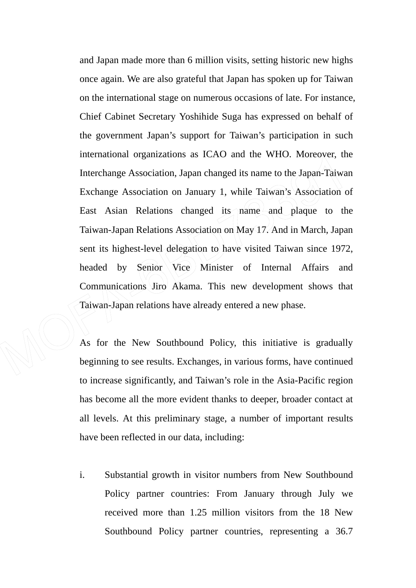and Japan made more than 6 million visits, setting historic new highs once again. We are also grateful that Japan has spoken up for Taiwan on the international stage on numerous occasions of late. For instance, Chief Cabinet Secretary Yoshihide Suga has expressed on behalf of the government Japan's support for Taiwan's participation in such international organizations as ICAO and the WHO. Moreover, the Interchange Association, Japan changed its name to the Japan-Taiwan Exchange Association on January 1, while Taiwan's Association of East Asian Relations changed its name and plaque to the Taiwan-Japan Relations Association on May 17. And in March, Japan sent its highest-level delegation to have visited Taiwan since 1972, headed by Senior Vice Minister of Internal Affairs and Communications Jiro Akama. This new development shows that Taiwan-Japan relations have already entered a new phase.

As for the New Southbound Policy, this initiative is gradually beginning to see results. Exchanges, in various forms, have continued to increase significantly, and Taiwan's role in the Asia-Pacific region has become all the more evident thanks to deeper, broader contact at all levels. At this preliminary stage, a number of important results have been reflected in our data, including:

i. Substantial growth in visitor numbers from New Southbound Policy partner countries: From January through July we received more than 1.25 million visitors from the 18 New Southbound Policy partner countries, representing a 36.7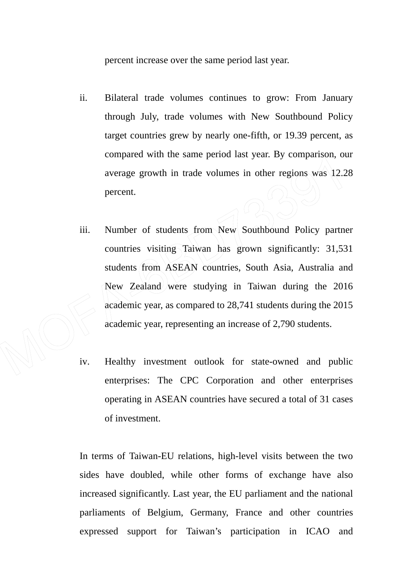percent increase over the same period last year.

- ii. Bilateral trade volumes continues to grow: From January through July, trade volumes with New Southbound Policy target countries grew by nearly one-fifth, or 19.39 percent, as compared with the same period last year. By comparison, our average growth in trade volumes in other regions was 12.28 percent.
- iii. Number of students from New Southbound Policy partner countries visiting Taiwan has grown significantly: 31,531 students from ASEAN countries, South Asia, Australia and New Zealand were studying in Taiwan during the 2016 academic year, as compared to 28,741 students during the 2015 academic year, representing an increase of 2,790 students.
- iv. Healthy investment outlook for state-owned and public enterprises: The CPC Corporation and other enterprises operating in ASEAN countries have secured a total of 31 cases of investment.

In terms of Taiwan-EU relations, high-level visits between the two sides have doubled, while other forms of exchange have also increased significantly. Last year, the EU parliament and the national parliaments of Belgium, Germany, France and other countries expressed support for Taiwan's participation in ICAO and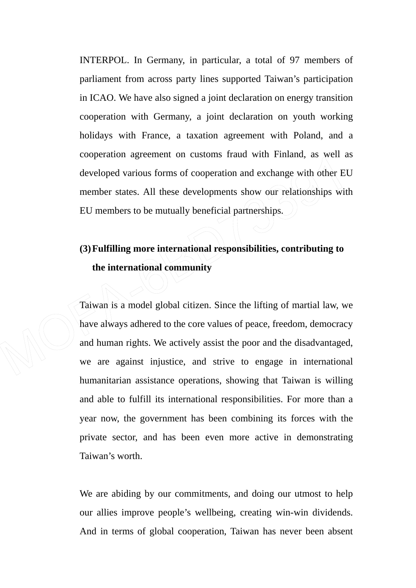INTERPOL. In Germany, in particular, a total of 97 members of parliament from across party lines supported Taiwan's participation in ICAO. We have also signed a joint declaration on energy transition cooperation with Germany, a joint declaration on youth working holidays with France, a taxation agreement with Poland, and a cooperation agreement on customs fraud with Finland, as well as developed various forms of cooperation and exchange with other EU member states. All these developments show our relationships with EU members to be mutually beneficial partnerships.

# **(3)Fulfilling more international responsibilities, contributing to the international community**

Taiwan is a model global citizen. Since the lifting of martial law, we have always adhered to the core values of peace, freedom, democracy and human rights. We actively assist the poor and the disadvantaged, we are against injustice, and strive to engage in international humanitarian assistance operations, showing that Taiwan is willing and able to fulfill its international responsibilities. For more than a year now, the government has been combining its forces with the private sector, and has been even more active in demonstrating Taiwan's worth.

We are abiding by our commitments, and doing our utmost to help our allies improve people's wellbeing, creating win-win dividends. And in terms of global cooperation, Taiwan has never been absent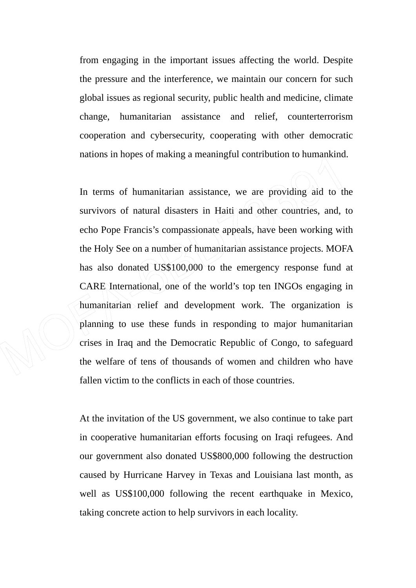from engaging in the important issues affecting the world. Despite the pressure and the interference, we maintain our concern for such global issues as regional security, public health and medicine, climate change, humanitarian assistance and relief, counterterrorism cooperation and cybersecurity, cooperating with other democratic nations in hopes of making a meaningful contribution to humankind.

In terms of humanitarian assistance, we are providing aid to the survivors of natural disasters in Haiti and other countries, and, to echo Pope Francis's compassionate appeals, have been working with the Holy See on a number of humanitarian assistance projects. MOFA has also donated US\$100,000 to the emergency response fund at CARE International, one of the world's top ten INGOs engaging in humanitarian relief and development work. The organization is planning to use these funds in responding to major humanitarian crises in Iraq and the Democratic Republic of Congo, to safeguard the welfare of tens of thousands of women and children who have fallen victim to the conflicts in each of those countries.

At the invitation of the US government, we also continue to take part in cooperative humanitarian efforts focusing on Iraqi refugees. And our government also donated US\$800,000 following the destruction caused by Hurricane Harvey in Texas and Louisiana last month, as well as US\$100,000 following the recent earthquake in Mexico, taking concrete action to help survivors in each locality.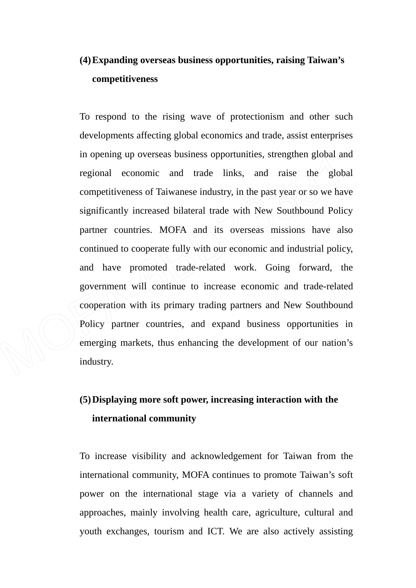# **(4)Expanding overseas business opportunities, raising Taiwan's competitiveness**

To respond to the rising wave of protectionism and other such developments affecting global economics and trade, assist enterprises in opening up overseas business opportunities, strengthen global and regional economic and trade links, and raise the global competitiveness of Taiwanese industry, in the past year or so we have significantly increased bilateral trade with New Southbound Policy partner countries. MOFA and its overseas missions have also continued to cooperate fully with our economic and industrial policy, and have promoted trade-related work. Going forward, the government will continue to increase economic and trade-related cooperation with its primary trading partners and New Southbound Policy partner countries, and expand business opportunities in emerging markets, thus enhancing the development of our nation's industry.

# **(5)Displaying more soft power, increasing interaction with the international community**

To increase visibility and acknowledgement for Taiwan from the international community, MOFA continues to promote Taiwan's soft power on the international stage via a variety of channels and approaches, mainly involving health care, agriculture, cultural and youth exchanges, tourism and ICT. We are also actively assisting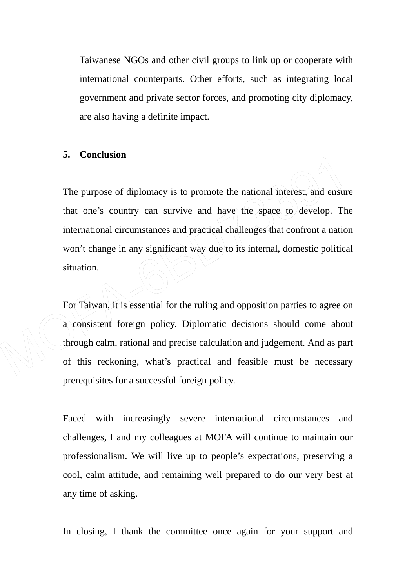Taiwanese NGOs and other civil groups to link up or cooperate with international counterparts. Other efforts, such as integrating local government and private sector forces, and promoting city diplomacy, are also having a definite impact.

#### **5. Conclusion**

The purpose of diplomacy is to promote the national interest, and ensure that one's country can survive and have the space to develop. The international circumstances and practical challenges that confront a nation won't change in any significant way due to its internal, domestic political situation.

For Taiwan, it is essential for the ruling and opposition parties to agree on a consistent foreign policy. Diplomatic decisions should come about through calm, rational and precise calculation and judgement. And as part of this reckoning, what's practical and feasible must be necessary prerequisites for a successful foreign policy.

Faced with increasingly severe international circumstances and challenges, I and my colleagues at MOFA will continue to maintain our professionalism. We will live up to people's expectations, preserving a cool, calm attitude, and remaining well prepared to do our very best at any time of asking.

In closing, I thank the committee once again for your support and